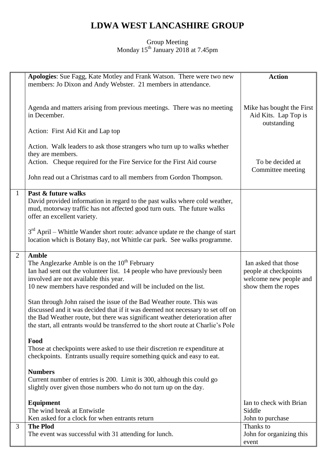## **LDWA WEST LANCASHIRE GROUP**

## Group Meeting Monday 15<sup>th</sup> January 2018 at 7.45pm

|                | Apologies: Sue Fagg, Kate Motley and Frank Watson. There were two new<br>members: Jo Dixon and Andy Webster. 21 members in attendance.                                                                                                                                                                                       | <b>Action</b>                                                                                  |
|----------------|------------------------------------------------------------------------------------------------------------------------------------------------------------------------------------------------------------------------------------------------------------------------------------------------------------------------------|------------------------------------------------------------------------------------------------|
|                |                                                                                                                                                                                                                                                                                                                              |                                                                                                |
|                | Agenda and matters arising from previous meetings. There was no meeting<br>in December.                                                                                                                                                                                                                                      | Mike has bought the First<br>Aid Kits. Lap Top is                                              |
|                | Action: First Aid Kit and Lap top                                                                                                                                                                                                                                                                                            | outstanding                                                                                    |
|                | Action. Walk leaders to ask those strangers who turn up to walks whether<br>they are members.                                                                                                                                                                                                                                |                                                                                                |
|                | Action. Cheque required for the Fire Service for the First Aid course                                                                                                                                                                                                                                                        | To be decided at<br>Committee meeting                                                          |
|                | John read out a Christmas card to all members from Gordon Thompson.                                                                                                                                                                                                                                                          |                                                                                                |
|                | Past & future walks                                                                                                                                                                                                                                                                                                          |                                                                                                |
| 1              | David provided information in regard to the past walks where cold weather,<br>mud, motorway traffic has not affected good turn outs. The future walks<br>offer an excellent variety.                                                                                                                                         |                                                                                                |
|                |                                                                                                                                                                                                                                                                                                                              |                                                                                                |
|                | 3 <sup>rd</sup> April – Whittle Wander short route: advance update re the change of start<br>location which is Botany Bay, not Whittle car park. See walks programme.                                                                                                                                                        |                                                                                                |
| $\overline{2}$ | <b>Amble</b>                                                                                                                                                                                                                                                                                                                 |                                                                                                |
|                | The Anglezarke Amble is on the $10th$ February<br>Ian had sent out the volunteer list. 14 people who have previously been<br>involved are not available this year.<br>10 new members have responded and will be included on the list.                                                                                        | Ian asked that those<br>people at checkpoints<br>welcome new people and<br>show them the ropes |
|                | Stan through John raised the issue of the Bad Weather route. This was<br>discussed and it was decided that if it was deemed not necessary to set off on<br>the Bad Weather route, but there was significant weather deterioration after<br>the start, all entrants would be transferred to the short route at Charlie's Pole |                                                                                                |
|                |                                                                                                                                                                                                                                                                                                                              |                                                                                                |
|                | Food<br>Those at checkpoints were asked to use their discretion re expenditure at<br>checkpoints. Entrants usually require something quick and easy to eat.                                                                                                                                                                  |                                                                                                |
|                | <b>Numbers</b>                                                                                                                                                                                                                                                                                                               |                                                                                                |
|                | Current number of entries is 200. Limit is 300, although this could go<br>slightly over given those numbers who do not turn up on the day.                                                                                                                                                                                   |                                                                                                |
|                | Equipment                                                                                                                                                                                                                                                                                                                    | Ian to check with Brian                                                                        |
|                | The wind break at Entwistle                                                                                                                                                                                                                                                                                                  | Siddle                                                                                         |
|                | Ken asked for a clock for when entrants return                                                                                                                                                                                                                                                                               | John to purchase                                                                               |
| 3              | <b>The Plod</b>                                                                                                                                                                                                                                                                                                              | Thanks to                                                                                      |
|                |                                                                                                                                                                                                                                                                                                                              |                                                                                                |
|                | The event was successful with 31 attending for lunch.                                                                                                                                                                                                                                                                        | John for organizing this<br>event                                                              |